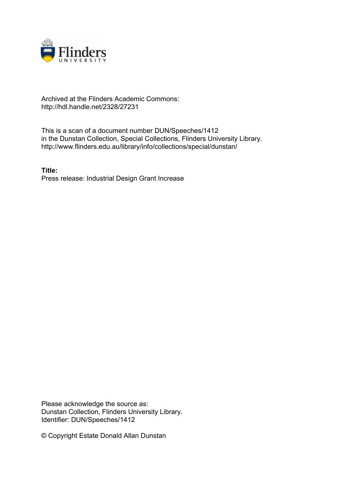

## Archived at the Flinders Academic Commons: http://hdl.handle.net/2328/27231

This is a scan of a document number DUN/Speeches/1412 in the Dunstan Collection, Special Collections, Flinders University Library. http://www.flinders.edu.au/library/info/collections/special/dunstan/

**Title:** Press release: Industrial Design Grant Increase

Please acknowledge the source as: Dunstan Collection, Flinders University Library. Identifier: DUN/Speeches/1412

© Copyright Estate Donald Allan Dunstan